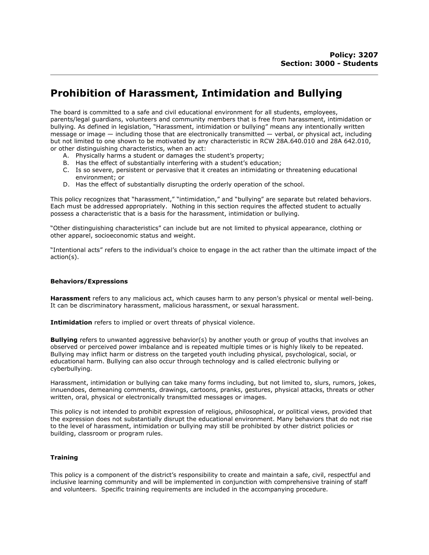# Prohibition of Harassment, Intimidation and Bullying

The board is committed to a safe and civil educational environment for all students, employees, parents/legal guardians, volunteers and community members that is free from harassment, intimidation or bullying. As defined in legislation, "Harassment, intimidation or bullying" means any intentionally written message or image — including those that are electronically transmitted — verbal, or physical act, including but not limited to one shown to be motivated by any characteristic in RCW 28A.640.010 and 28A 642.010, or other distinguishing characteristics, when an act:

- A. Physically harms a student or damages the student's property;
- B. Has the effect of substantially interfering with a student's education;
- C. Is so severe, persistent or pervasive that it creates an intimidating or threatening educational environment; or
- D. Has the effect of substantially disrupting the orderly operation of the school.

This policy recognizes that "harassment," "intimidation," and "bullying" are separate but related behaviors. Each must be addressed appropriately. Nothing in this section requires the affected student to actually possess a characteristic that is a basis for the harassment, intimidation or bullying.

"Other distinguishing characteristics" can include but are not limited to physical appearance, clothing or other apparel, socioeconomic status and weight.

"Intentional acts" refers to the individual's choice to engage in the act rather than the ultimate impact of the action(s).

### Behaviors/Expressions

Harassment refers to any malicious act, which causes harm to any person's physical or mental well-being. It can be discriminatory harassment, malicious harassment, or sexual harassment.

Intimidation refers to implied or overt threats of physical violence.

**Bullying** refers to unwanted aggressive behavior(s) by another youth or group of youths that involves an observed or perceived power imbalance and is repeated multiple times or is highly likely to be repeated. Bullying may inflict harm or distress on the targeted youth including physical, psychological, social, or educational harm. Bullying can also occur through technology and is called electronic bullying or cyberbullying.

Harassment, intimidation or bullying can take many forms including, but not limited to, slurs, rumors, jokes, innuendoes, demeaning comments, drawings, cartoons, pranks, gestures, physical attacks, threats or other written, oral, physical or electronically transmitted messages or images.

This policy is not intended to prohibit expression of religious, philosophical, or political views, provided that the expression does not substantially disrupt the educational environment. Many behaviors that do not rise to the level of harassment, intimidation or bullying may still be prohibited by other district policies or building, classroom or program rules.

## **Training**

This policy is a component of the district's responsibility to create and maintain a safe, civil, respectful and inclusive learning community and will be implemented in conjunction with comprehensive training of staff and volunteers. Specific training requirements are included in the accompanying procedure.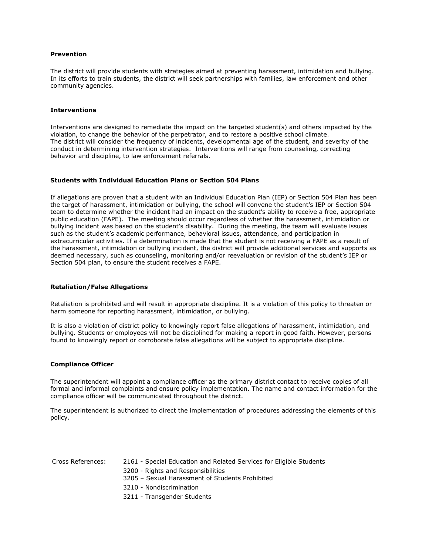## Prevention

The district will provide students with strategies aimed at preventing harassment, intimidation and bullying. In its efforts to train students, the district will seek partnerships with families, law enforcement and other community agencies.

#### Interventions

Interventions are designed to remediate the impact on the targeted student(s) and others impacted by the violation, to change the behavior of the perpetrator, and to restore a positive school climate. The district will consider the frequency of incidents, developmental age of the student, and severity of the conduct in determining intervention strategies. Interventions will range from counseling, correcting behavior and discipline, to law enforcement referrals.

#### Students with Individual Education Plans or Section 504 Plans

If allegations are proven that a student with an Individual Education Plan (IEP) or Section 504 Plan has been the target of harassment, intimidation or bullying, the school will convene the student's IEP or Section 504 team to determine whether the incident had an impact on the student's ability to receive a free, appropriate public education (FAPE). The meeting should occur regardless of whether the harassment, intimidation or bullying incident was based on the student's disability. During the meeting, the team will evaluate issues such as the student's academic performance, behavioral issues, attendance, and participation in extracurricular activities. If a determination is made that the student is not receiving a FAPE as a result of the harassment, intimidation or bullying incident, the district will provide additional services and supports as deemed necessary, such as counseling, monitoring and/or reevaluation or revision of the student's IEP or Section 504 plan, to ensure the student receives a FAPE.

#### Retaliation/False Allegations

Retaliation is prohibited and will result in appropriate discipline. It is a violation of this policy to threaten or harm someone for reporting harassment, intimidation, or bullying.

It is also a violation of district policy to knowingly report false allegations of harassment, intimidation, and bullying. Students or employees will not be disciplined for making a report in good faith. However, persons found to knowingly report or corroborate false allegations will be subject to appropriate discipline.

#### Compliance Officer

The superintendent will appoint a compliance officer as the primary district contact to receive copies of all formal and informal complaints and ensure policy implementation. The name and contact information for the compliance officer will be communicated throughout the district.

The superintendent is authorized to direct the implementation of procedures addressing the elements of this policy.

| Cross References: | 2161 - Special Education and Related Services for Eligible Students |
|-------------------|---------------------------------------------------------------------|
|-------------------|---------------------------------------------------------------------|

- 3200 Rights and Responsibilities
	- 3205 Sexual Harassment of Students Prohibited
	- 3210 Nondiscrimination
	- 3211 Transgender Students